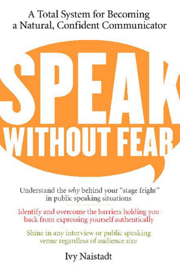## A Total System for Becoming a Natural, Confident Communicator

**THULLE** 

Understand the why behind your "stage fright" in public speaking situations

Identify and overcome the barriers holding you back from expressing yourself authentically

Shine in any interview or public speaking venue regardless of audience size

**Ivy Naistadt**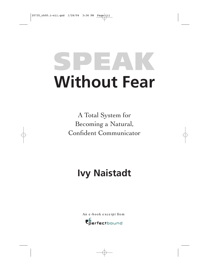# **SPEAK Without Fear**

A Total System for Becoming a Natural, Confident Communicator

## **Ivy Naistadt**

An e-book excerpt from **C**perfectbound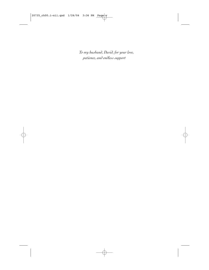*To my husband, David, for your love, patience, and endless support*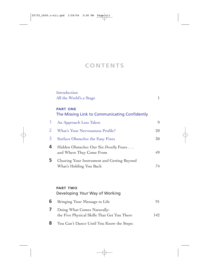## **CONTENTS**

<span id="page-7-0"></span>

|   | Introduction<br>All the World's a Stage                                    | $\mathbf{1}$ |
|---|----------------------------------------------------------------------------|--------------|
|   | <b>PART ONE</b><br>The Missing Link to Communicating Confidently           |              |
| 1 | An Approach Less Taken                                                     | 9            |
| 2 | <b>What's Your Nervousness Profile?</b>                                    | 20           |
| 3 | Surface Obstacles: the Easy Fixes                                          | 30           |
| 4 | Hidden Obstacles: Our Six Dreadly Fears<br>and Where They Come From        | 49           |
| 5 | Clearing Your Instrument and Getting Beyond<br>What's Holding You Back     | 74           |
|   | <b>PART TWO</b><br>Developing Your Way of Working                          |              |
| 6 | Bringing Your Message to Life                                              | 91           |
| 7 | Doing What Comes Naturally:<br>the Five Physical Skills That Get You There | 142          |
| 8 | You Can't Dance Until You Know the Steps:                                  |              |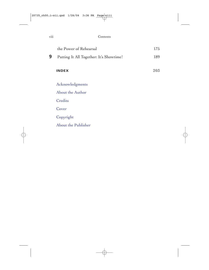<span id="page-8-1"></span><span id="page-8-0"></span>

|   | the Power of Rehearsal                  | 175 |
|---|-----------------------------------------|-----|
| 9 | Putting It All Together: It's Showtime! | 189 |
|   | <b>INDEX</b>                            | 203 |
|   | Acknowledgments                         |     |
|   | About the Author                        |     |
|   | Credits                                 |     |
|   | Cover                                   |     |
|   | Copyright                               |     |
|   | <b>About the Publisher</b>              |     |
|   |                                         |     |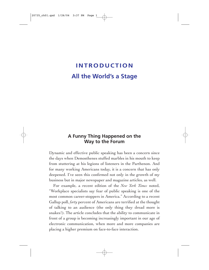## <span id="page-10-0"></span>**INTRODUCTION [All the World's a Stage](#page-7-0)**

#### **A Funny Thing Happened on the Way to the Forum**

Dynamic and effective public speaking has been a concern since the days when Demosthenes stuffed marbles in his mouth to keep from stuttering at his legions of listeners in the Parthenon. And for many working Americans today, it is a concern that has only deepened. I've seen this confirmed not only in the growth of my business but in major newspaper and magazine articles, as well.

For example, a recent edition of the *New York Times* noted, "Workplace specialists say fear of public speaking is one of the most common career-stoppers in America." According to a recent Gallup poll, *forty* percent of Americans are terrified at the thought of talking to an audience (the only thing they dread more is snakes!). The article concludes that the ability to communicate in front of a group is becoming increasingly important in our age of electronic communication, when more and more companies are placing a higher premium on face-to-face interaction.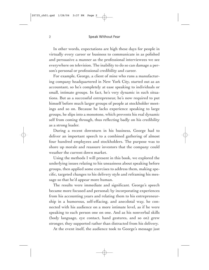In other words, expectations are high these days for people in virtually every career or business to communicate in as polished and persuasive a manner as the professional interviewees we see everywhere on television. The inability to do so can damage a person's personal or professional credibility and career.

For example, George, a client of mine who runs a manufacturing company headquartered in New York City, started out as an accountant, so he's completely at ease speaking to individuals or small, intimate groups. In fact, he's very dynamic in such situations. But as a successful entrepreneur, he's now required to put himself before much larger groups of people at stockholder meetings and so on. Because he lacks experience speaking to large groups, he slips into a monotone, which prevents his real dynamic self from coming through, thus reflecting badly on his credibility as a strong leader.

During a recent downturn in his business, George had to deliver an important speech to a combined gathering of almost four hundred employees and stockholders. The purpose was to shore up morale and reassure investors that the company could weather the current down market.

Using the methods I will present in this book, we explored the underlying issues relating to his uneasiness about speaking before groups, then applied some exercises to address them, making specific, targeted changes to his delivery style and reframing his message so that he'd appear more human.

The results were immediate and significant. George's speech became more focused and personal; by incorporating experiences from his accounting years and relating them to his entrepreneurship in a humorous, self-effacing, and anecdotal way, he connected with his audience on a more intimate level, as if he were speaking to each person one on one. And as his nonverbal skills (body language, eye contact, hand gestures, and so on) grew stronger, they supported rather than distracted from his delivery.

At the event itself, the audience took to George's message just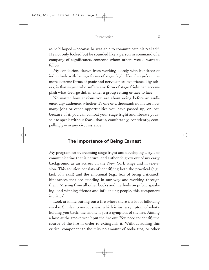as he'd hoped—because he was able to communicate his real self. He not only looked but he sounded like a person in command of a company of significance, someone whom others would want to follow.

My conclusion, drawn from working closely with hundreds of individuals with benign forms of stage fright like George's or the more extreme forms of panic and nervousness experienced by others, is that *anyone* who suffers any form of stage fright can accomplish what George did, in either a group setting or face to face.

No matter how anxious you are about going before an audience, any audience, whether it's one or a thousand; no matter how many jobs or other opportunities you have passed up, or lost, because of it, you can combat your stage fright and liberate yourself to speak without fear—that is, comfortably, confidently, compellingly—in any circumstance.

#### **The Importance of Being Earnest**

My program for overcoming stage fright and developing a style of communicating that is natural and authentic grew out of my early background as an actress on the New York stage and in television. This solution consists of identifying both the practical (e.g., lack of a skill) and the emotional (e.g., fear of being criticized) hindrances that are standing in our way and working through them. Missing from all other books and methods on public speaking, and winning friends and influencing people, this component is critical.

Look at it like putting out a fire where there is a lot of billowing smoke. Similar to nervousness, which is just a symptom of what's holding you back, the smoke is just a symptom of the fire. Aiming a hose at the smoke won't put the fire out. You need to identify the source of the fire in order to extinguish it. Without adding this critical component to the mix, no amount of tools, tips, or other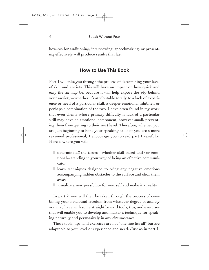how-tos for auditioning, interviewing, speechmaking, or presenting effectively will produce results that last.

#### **How to Use This Book**

Part 1 will take you through the process of determining your level of skill and anxiety. This will have an impact on how quick and easy the fix may be, because it will help expose the *why* behind your anxiety—whether it's attributable totally to a lack of experience or need of a particular skill, a deeper emotional inhibiter, or perhaps a combination of the two. I have often found in my work that even clients whose primary difficulty is lack of a particular skill may have an emotional component, however small, preventing them from getting to their next level. Therefore, whether you are just beginning to hone your speaking skills or you are a more seasoned professional, I encourage you to read part 1 carefully. Here is where you will:

- determine *all* the issues—whether skill-based and / or emotional—standing in your way of being an effective communicator
- I learn techniques designed to bring any negative emotions accompanying hidden obstacles to the surface and clear them away
- ❚ visualize a new possibility for yourself and make it a reality

In part 2, you will then be taken through the process of combining your newfound freedom from whatever degree of anxiety you may have with some straightforward tools, tips, and exercises that will enable you to develop and master a technique for speaking naturally and persuasively in any circumstance.

These tools, tips, and exercises are not "one size fits all" but are adaptable to *your* level of experience and need. Just as in part 1,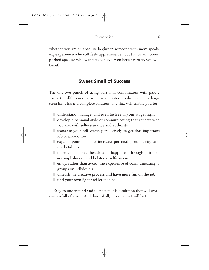whether you are an absolute beginner, someone with more speaking experience who still feels apprehensive about it, or an accomplished speaker who wants to achieve even better results, you will benefit.

#### **Sweet Smell of Success**

The one-two punch of using part 1 in combination with part 2 spells the difference between a short-term solution and a longterm fix. This is a complete solution, one that will enable you to:

- understand, manage, and even be free of your stage fright
- ❚ develop a personal style of communicating that reflects who you are, with self-assurance and authority
- ❚ translate your self-worth persuasively to get that important job or promotion
- ❚ expand your skills to increase personal productivity and marketability
- ❚ improve personal health and happiness through pride of accomplishment and bolstered self-esteem
- ❚ enjoy, rather than avoid, the experience of communicating to groups or individuals
- I unleash the creative process and have more fun on the job
- find your own light and let it shine

Easy to understand and to master, it is a solution that will work successfully for *you*. And, best of all, it is one that will last.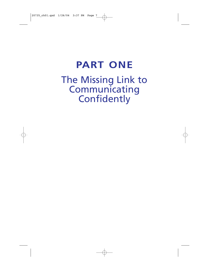## **PART ONE**

<span id="page-16-0"></span>[The Missing Link to](#page-7-0) Communicating **Confidently**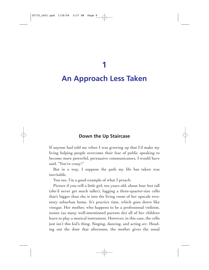## **1**

### <span id="page-18-0"></span>**[An Approach Less Taken](#page-7-0)**

#### **Down the Up Staircase**

If anyone had told me when I was growing up that I'd make my living helping people overcome their fear of public speaking to become more powerful, persuasive communicators, I would have said, "You're crazy!"

But in a way, I suppose the path my life has taken was inevitable.

You see, I'm a good example of what I preach.

Picture if you will a little girl, ten years old, about four feet tall (she'd never get much taller), lugging a three-quarter-size cello that's bigger than she is into the living room of her upscale twostory suburban home. It's practice time, which goes down like vinegar. Her mother, who happens to be a professional violinist, insists (as many well-intentioned parents do) all of her children learn to play a musical instrument. However, in this case, the cello just isn't this kid's thing. Singing, dancing, and acting *are*. Heading out the door that afternoon, the mother gives the usual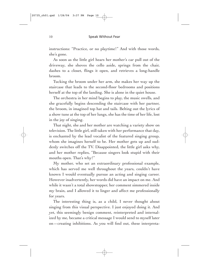instructions: "Practice, or no playtime!" And with those words, she's gone.

As soon as the little girl hears her mother's car pull out of the driveway, she shoves the cello aside, springs from the chair, dashes to a closet, flings it open, and retrieves a long-handle broom.

Tucking the broom under her arm, she makes her way up the staircase that leads to the second-floor bedrooms and positions herself at the top of the landing. She is alone in the quiet house.

The orchestra in her mind begins to play, the music swells, and she gracefully begins descending the staircase with her partner, the broom, in imagined top hat and tails. Belting out the lyrics of a show tune at the top of her lungs, she has the time of her life, lost in the joy of singing.

That night, she and her mother are watching a variety show on television. The little girl, still taken with her performance that day, is enchanted by the lead vocalist of the featured singing group, whom she imagines herself to be. Her mother gets up and suddenly switches off the TV. Disappointed, the little girl asks why, and her mother replies, "Because singers look stupid with their mouths open. That's why!"

My mother, who set an extraordinary professional example, which has served me well throughout the years, couldn't have known I would eventually pursue an acting and singing career. However inadvertently, her words did have an impact on me. And while it wasn't a total showstopper, her comment simmered inside my brain, and I allowed it to linger and affect me professionally for years.

The interesting thing is, as a child, I never thought about singing from this visual perspective. I just enjoyed doing it. And yet, this seemingly benign comment, reinterpreted and internalized by me, became a critical message I would send to myself later on—creating inhibitions. As you will find out, these interpreta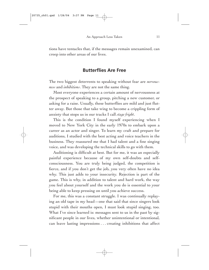tions have tentacles that, if the messages remain unexamined, can creep into other areas of our lives.

#### **Butterflies Are Free**

The two biggest deterrents to speaking without fear are *nervousness* and *inhibitions*. They are not the same thing.

Most everyone experiences a certain amount of nervousness at the prospect of speaking to a group, pitching a new customer, or asking for a raise. Usually, these butterflies are mild and just flutter away. But those that take wing to become a crippling form of anxiety that stops us in our tracks I call *stage fright*.

This is the condition I found myself experiencing when I moved to New York City in the early 1970s to embark upon a career as an actor and singer. To learn my craft and prepare for auditions, I studied with the best acting and voice teachers in the business. They reassured me that I had talent and a fine singing voice, and was developing the technical skills to go with them.

Auditioning is difficult at best. But for me, it was an especially painful experience because of my own self-doubts and selfconsciousness. You are truly being judged, the competition is fierce, and if you don't get the job, you very often have no idea why. This just adds to your insecurity. Rejection is part of the game. This is why, in addition to talent and hard work, the way you feel about yourself and the work you do is essential to your being able to keep pressing on until you achieve success.

For me, this was a constant struggle. I was continually replaying an old tape in my head—one that said that since singers look stupid with their mouths open, I must look stupid singing, too. What I've since learned is: messages sent to us in the past by significant people in our lives, whether unintentional or intentional, can leave lasting impressions . . . creating inhibitions that affect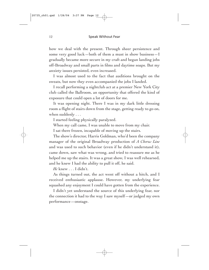how we deal with the present. Through sheer persistence and some very good luck—both of them a must in show business—I gradually became more secure in my craft and began landing jobs off-Broadway and small parts in films and daytime soaps. But my anxiety issues persisted, even increased.

I was almost used to the fact that auditions brought on the sweats, but now they even accompanied the jobs I landed.

I recall performing a nightclub act at a premier New York City club called the Ballroom, an opportunity that offered the kind of exposure that could open a lot of doors for me.

It was opening night. There I was in my dark little dressing room a flight of stairs down from the stage, getting ready to go on, when suddenly...

I started feeling physically paralyzed.

When my call came, I was unable to move from my chair.

I sat there frozen, incapable of moving up the stairs.

The show's director, Harris Goldman, who'd been the company manager of the original Broadway production of *A Chorus Line* and was used to such behavior (even if he didn't understand it), came down, saw what was wrong, and tried to reassure me as he helped me up the stairs. It was a great show, I was well rehearsed, and he knew I had the ability to pull it off, he said.

*He* knew . . . I didn't.

As things turned out, the act went off without a hitch, and I received enthusiastic applause. However, my underlying fear squashed any enjoyment I could have gotten from the experience.

I didn't yet understand the source of this underlying fear, nor the connection it had to the way I saw myself—or judged my own performance—onstage.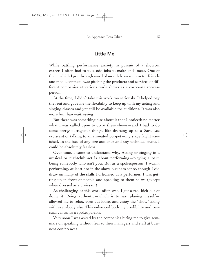#### **Little Me**

While battling performance anxiety in pursuit of a showbiz career, I often had to take odd jobs to make ends meet. One of them, which I got through word of mouth from some actor friends and media contacts, was pitching the products and services of different companies at various trade shows as a corporate spokesperson.

At the time, I didn't take this work too seriously. It helped pay the rent and gave me the flexibility to keep up with my acting and singing classes and yet still be available for auditions. It was also more fun than waitressing.

But there was something else about it that I noticed: no matter what I was called upon to do at these shows—and I had to do some pretty outrageous things, like dressing up as a Sara Lee croissant or talking to an animated puppet—my stage fright vanished. In the face of any size audience and any technical snafu, I could be absolutely fearless.

Over time, I came to understand why. Acting or singing in a musical or nightclub act is about performing—playing a part, being somebody who isn't you. But as a spokesperson, I wasn't performing, at least not in the show-business sense, though I did draw on many of the skills I'd learned as a performer. I was getting up in front of people and speaking to them as *me* (except when dressed as a croissant).

As challenging as this work often was, I got a real kick out of doing it. Being authentic—which is to say, playing myself allowed me to relax, even cut loose, and enjoy the "show" along with everybody else. This enhanced both my credibility and persuasiveness as a spokesperson.

Very soon I was asked by the companies hiring me to give seminars on speaking without fear to their managers and staff at business conferences.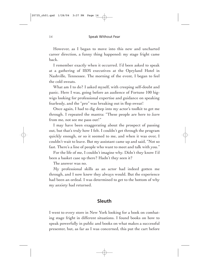However, as I began to move into this new and uncharted career direction, a funny thing happened: my stage fright came back.

I remember exactly when it occurred. I'd been asked to speak at a gathering of IBM executives at the Opryland Hotel in Nashville, Tennessee. The morning of the event, I began to feel the cold sweats.

What am I to do? I asked myself, with creeping self-doubt and panic. Here I was, going before an audience of Fortune 100 bigwigs looking for professional expertise and guidance on speaking fearlessly, and the "pro" was breaking out in flop sweat!

Once again, I had to dig deep into my actor's toolkit to get me through. I repeated the mantra: "These people are here to *learn* from me, not see me pass out!"

I may have been exaggerating about the prospect of passing out, but that's truly how I felt. I couldn't get through the program quickly enough, or so it seemed to me, and when it was over, I couldn't wait to leave. But my assistant came up and said, "Not so fast. There's a line of people who want to meet and talk with you."

For the life of me, I couldn't imagine why. Didn't they know I'd been a basket case up there? Hadn't they seen it?

The answer was no.

My professional skills as an actor had indeed gotten me through, and I now knew they always would. But the experience had been an ordeal. I was determined to get to the bottom of why my anxiety had returned.

#### **Sleuth**

I went to every store in New York looking for a book on combating stage fright in different situations. I found books on how to speak powerfully in public and books on what makes a successful presenter, but, as far as I was concerned, this put the cart before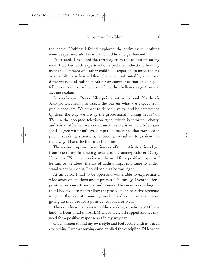the horse. Nothing I found explored the entire issue; nothing went deeper into *why* I was afraid and how to get beyond it.

Frustrated, I explored the territory from top to bottom on my own. I worked with experts who helped me understand how my mother's comment and other childhood experiences impacted me as an adult. I also learned that whenever confronted by a new and different type of public speaking or communication challenge, I fell into several traps by approaching the challenge as *performance*. Let me explain.

As media guru Roger Ailes points out in his book *You Are the Message*, television has raised the bar on what we expect from public speakers. We expect to sit back, relax, and be entertained by them the way we are by the professional "talking heads" on TV—in the accepted television style, which is informal, chatty, and witty. Whether we consciously realize it or not, Ailes says (and I agree with him), we compare ourselves to that standard in public speaking situations, expecting ourselves to *perform* the same way. That's the first trap I fell into.

The second trap was forgetting one of the first instructions I got from one of my first acting teachers, the actor/producer Darryl Hickman. "You have to give up the need for a positive response," he said to me about the art of auditioning. As I came to understand what he meant, I could see that he was right.

As an actor, I had to be open and vulnerable to expressing a wide array of emotions under pressure. Naturally, I yearned for a positive response from my auditioners. Hickman was telling me that I had to learn not to allow the prospect of a negative response to get in the way of doing my work. Hard as it was, that meant giving up the need for a positive response, as well.

The same lesson applies to public speaking situations. At Opryland, in front of all those IBM executives, I'd slipped and let that need for a positive response get in my way again.

On a mission to find my own style and feel secure with it, I used everything I was absorbing, and applied the discipline I'd learned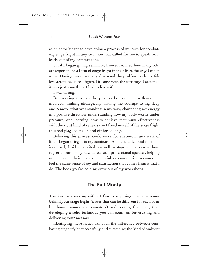as an actor/singer to developing a process of my own for combating stage fright in any situation that called for me to speak fearlessly out of my comfort zone.

Until I began giving seminars, I never realized how many others experienced a form of stage fright in their lives the way I did in mine. Having never actually discussed the problem with my fellow actors because I figured it came with the territory, I assumed it was just something I had to live with.

I was wrong.

By working through the process I'd come up with—which involved thinking strategically, having the courage to dig deep and remove what was standing in my way, channeling my energy in a positive direction, understanding how my body works under pressure, and learning how to achieve maximum effectiveness with the right kind of rehearsal—I freed myself of the stage fright that had plagued me on and off for so long.

Believing this process could work for anyone, in any walk of life, I began using it in my seminars. And as the demand for them increased, I bid an excited farewell to stage and screen without regret to pursue my new career as a professional speaker, helping others reach their highest potential as communicators—and to feel the same sense of joy and satisfaction that comes from it that I do. The book you're holding grew out of my workshops.

#### **The Full Monty**

The key to speaking without fear is exposing the core issues behind your stage fright (issues that can be different for each of us but have common denominators) and rooting them out, then developing a solid technique you can count on for creating and delivering your message.

Identifying these issues can spell the difference between combating stage fright successfully and sustaining the kind of ambient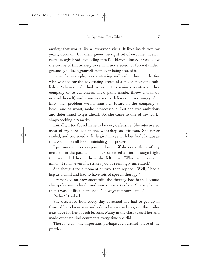anxiety that works like a low-grade virus. It lives inside you for years, dormant, but then, given the right set of circumstances, it rears its ugly head, exploding into full-blown illness. If you allow the source of this anxiety to remain undetected, or force it underground, you keep yourself from ever being free of it.

Ilene, for example, was a striking redhead in her midthirties who worked for the advertising group of a major magazine publisher. Whenever she had to present to senior executives in her company or to customers, she'd panic inside, throw a wall up around herself, and come across as defensive, even angry. She knew her problem would limit her future in the company at best—and at worst, make it precarious. But she was ambitious and determined to get ahead. So, she came to one of my workshops seeking a remedy.

Initially, I too found Ilene to be very defensive. She interpreted most of my feedback in the workshop as criticism. She never smiled, and projected a "little girl" image with her body language that was not at all her, diminishing her power.

I put my explorer's cap on and asked if she could think of any occasion in the past when she experienced a kind of stage fright that reminded her of how she felt now. "Whatever comes to mind," I said, "even if it strikes you as seemingly unrelated."

She thought for a moment or two, then replied, "Well, I had a lisp as a child and had to have lots of speech therapy."

I remarked on how successful the therapy had been, because she spoke very clearly and was quite articulate. She explained that it was a difficult struggle. "I always felt humiliated."

"Why?" I asked.

She described how every day at school she had to get up in front of her classmates and ask to be excused to go to the trailer next door for her speech lessons. Many in the class teased her and made other unkind comments every time she did.

There it was—the important, perhaps even critical, piece of the puzzle.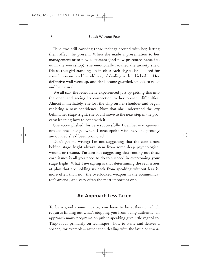Ilene was still carrying those feelings around with her, letting them affect the present. When she made a presentation to her management or to new customers (and now presented herself to us in the workshop), she emotionally recalled the anxiety she'd felt as that girl standing up in class each day to be excused for speech lessons, and her old way of dealing with it kicked in. Her defensive wall went up, and she became guarded, unable to relax and be natural.

We all saw the relief Ilene experienced just by getting this into the open and seeing its connection to her present difficulties. Almost immediately, she lost the chip on her shoulder and began radiating a new confidence. Now that she understood the *why* behind her stage fright, she could move to the next step in the process: learning how to cope with it.

She accomplished this very successfully. Even her management noticed the change; when I next spoke with her, she proudly announced she'd been promoted.

Don't get me wrong; I'm not suggesting that the core issues behind stage fright always stem from some deep psychological wound or trauma. I'm also not suggesting that rooting out these core issues is all you need to do to succeed in overcoming your stage fright. What I *am* saying is that determining the real issues at play that are holding us back from speaking without fear is, more often than not, the overlooked weapon in the communicator's arsenal, and very often the most important one.

#### **An Approach Less Taken**

To be a good communicator, you have to be authentic, which requires finding out what's stopping you from being authentic, an approach many programs on public speaking give little regard to. They focus primarily on technique—how to write and deliver a speech, for example—rather than dealing with the issue of *presen-*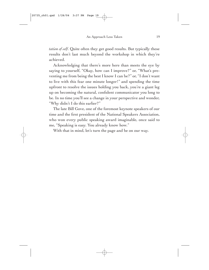*tation of self*. Quite often they get good results. But typically these results don't last much beyond the workshop in which they're achieved.

Acknowledging that there's more here than meets the eye by saying to yourself, "Okay, how can I improve?" or, "What's preventing me from being the best I know I can be?" or, "I don't want to live with this fear one minute longer!" and spending the time upfront to resolve the issues holding you back, you're a giant leg up on becoming the natural, confident communicator you long to be. In no time you'll see a change in your perspective and wonder, "Why didn't I do this earlier?"

The late Bill Gove, one of the foremost keynote speakers of our time and the first president of the National Speakers Association, who won every public speaking award imaginable, once said to me, "Speaking is easy. You already know how."

With that in mind, let's turn the page and be on our way.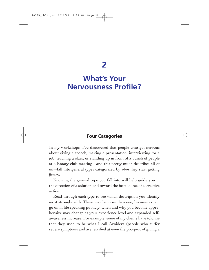### **2**

## <span id="page-29-0"></span>**What's Your [Nervousness Profile?](#page-7-0)**

#### **Four Categories**

In my workshops, I've discovered that people who get nervous about giving a speech, making a presentation, interviewing for a job, teaching a class, or standing up in front of a bunch of people at a Rotary club meeting—and this pretty much describes all of us—fall into general types categorized by *when* they start getting jittery.

Knowing the general type you fall into will help guide you in the direction of a solution and toward the best course of corrective action.

Read through each type to see which description you identify most strongly with. There may be more than one, because as you go on in life speaking publicly, when and why you become apprehensive may change as your experience level and expanded selfawareness increase. For example, some of my clients have told me that they used to be what I call Avoiders (people who suffer severe symptoms and are terrified at even the prospect of giving a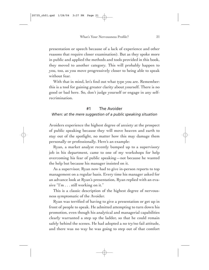presentation or speech because of a lack of experience and other reasons that require closer examination). But as they spoke more in public and applied the methods and tools provided in this book, they moved to another category. This will probably happen to you, too, as you move progressively closer to being able to speak without fear.

With that in mind, let's find out what type you are. Remember: this is a tool for gaining greater clarity about yourself. There is no good or bad here. So, don't judge yourself or engage in any selfrecrimination.

#### #1 The Avoider

#### *When: at the mere suggestion of a public speaking situation*

Avoiders experience the highest degree of anxiety at the prospect of public speaking because they will move heaven and earth to stay out of the spotlight, no matter how this may damage them personally or professionally. Here's an example:

Ryan, a market analyst recently bumped up to a supervisory job in his department, came to one of my workshops for help overcoming his fear of public speaking—not because he wanted the help but because his manager insisted on it.

As a supervisor, Ryan now had to give in-person reports to top management on a regular basis. Every time his manager asked for an advance look at Ryan's presentation, Ryan replied with an evasive "I'm... still working on it."

This is a classic description of the highest degree of nervousness symptomatic of the Avoider.

Ryan was terrified of having to give a presentation or get up in front of people to speak. He admitted attempting to turn down his promotion, even though his analytical and managerial capabilities clearly warranted a step up the ladder, so that he could remain safely behind the scenes. He had adopted a no try/no fail attitude, and there was no way he was going to step out of that comfort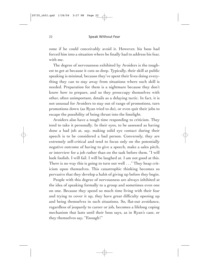zone if he could conceivably avoid it. However, his boss had forced him into a situation where he finally had to address his fear, with me.

The degree of nervousness exhibited by Avoiders is the toughest to get at because it cuts so deep. Typically, their skill at public speaking is minimal, because they've spent their lives doing everything they can to stay away from situations where such skill is needed. Preparation for them is a nightmare because they don't know how to prepare, and so they preoccupy themselves with other, often unimportant, details as a delaying tactic. In fact, it is not unusual for Avoiders to stay out of range of promotions, turn promotions down (as Ryan tried to do), or even quit their jobs to escape the possibility of being thrust into the limelight.

Avoiders also have a tough time responding to criticism. They tend to take it personally. In their eyes, to be assessed as having done a bad job at, say, making solid eye contact during their speech is to be considered a bad person. Conversely, they are extremely self-critical and tend to focus only on the potentially negative outcome of having to give a speech, make a sales pitch, or interview for a job rather than on the task before them. "I will look foolish. I will fail. I will be laughed at. I am not good at this. There is no way this is going to turn out well . . . " They heap criticism upon themselves. This catastrophic thinking becomes so pervasive that they develop a habit of giving up before they begin.

People with this degree of nervousness are always inhibited at the idea of speaking formally to a group and sometimes even one on one. Because they spend so much time living with their fear and trying to cover it up, they have great difficulty opening up and being themselves in such situations. So, flat-out avoidance, regardless of jeopardy to career or job, becomes a lifelong coping mechanism that lasts until their boss says, as in Ryan's case, or they themselves say, "Enough!"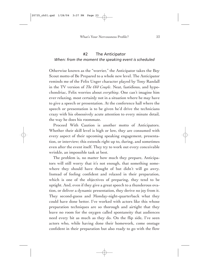#### #2 The Anticipator *When: from the moment the speaking event is scheduled*

Otherwise known as the "worrier," the Anticipator takes the Boy Scout motto of Be Prepared to a whole new level. The Anticipator reminds me of the Felix Unger character played by Tony Randall in the TV version of *The Odd Couple*. Neat, fastidious, and hypochondriac, Felix worries about *everything*. One can't imagine him ever relaxing, most certainly not in a situation where he may have to give a speech or presentation. At the conference hall where the speech or presentation is to be given he'd drive the technicians crazy with his obsessively acute attention to every minute detail, the way he does his roommate.

Proceed With Caution is another motto of Anticipators. Whether their skill level is high or low, they are consumed with every aspect of their upcoming speaking engagement, presentation, or interview; this extends right up to, during, and sometimes even after the event itself. They try to work out every conceivable wrinkle, an impossible task at best.

The problem is, no matter how much they prepare, Anticipators will still worry that it's not enough, that something somewhere they should have thought of but didn't will go awry. Instead of feeling confident and relaxed in their preparation, which is one of the objectives of preparing, they tend to be uptight. And, even if they give a great speech to a thunderous ovation, or deliver a dynamic presentation, they derive no joy from it. They second-guess and Monday-night-quarterback what they could have done better. I've worked with actors like this whose preparation techniques are so thorough and airtight that they leave no room for the oxygen called spontaneity that audiences need every bit as much as they do. On the flip side, I've seen actors who, while having done their homework, come onstage confident in their preparation but also ready to go with the flow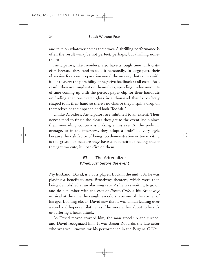and take on whatever comes their way. A thrilling performance is often the result—maybe not perfect, perhaps, but thrilling nonetheless.

Anticipators, like Avoiders, also have a tough time with criticism because they tend to take it personally. In large part, their obsessive focus on preparation—and the anxiety that comes with it—is to avert the possibility of negative feedback at all costs. As a result, they are toughest on themselves, spending undue amounts of time coming up with the perfect paper clip for their handouts or finding that one water glass in a thousand that is perfectly shaped to fit their hand so there's no chance they'll spill a drop on themselves or their speech and look "foolish."

Unlike Avoiders, Anticipators are inhibited to an extent. Their nerves tend to tingle the closer they get to the event itself, since their overriding concern is making a mistake. At the podium, onstage, or in the interview, they adopt a "safe" delivery style because the risk factor of being too demonstrative or too exciting is too great—or because they have a superstitious feeling that if they get too cute, it'll backfire on them.

#### #3 The Adrenalizer *When: just before the event*

My husband, David, is a bass player. Back in the mid-'80s, he was playing a benefit to save Broadway theaters, which were then being demolished at an alarming rate. As he was waiting to go on and do a number with the cast of *Dream Girls*, a hit Broadway musical at the time, he caught an odd shape out of the corner of his eye. Looking closer, David saw that it was a man leaning over a stool and hyperventilating, as if he were either about to be sick or suffering a heart attack.

As David moved toward him, the man stood up and turned, and David recognized him. It was Jason Robards, the late actor who was well known for his performance in the Eugene O'Neill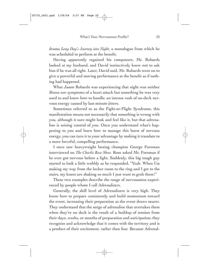drama *Long Day's Journey into Night*, a monologue from which he was scheduled to perform at the benefit.

Having apparently regained his composure, Mr. Robards looked at my husband, and David instinctively knew not to ask him if he was all right. Later, David said, Mr. Robards went on to give a powerful and moving performance at the benefit as if nothing had happened.

What Jason Robards was experiencing that night was neither illness nor symptoms of a heart attack but something he was very used to and knew how to handle: an intense rush of on-deck nervous energy caused by last-minute jitters.

Sometimes referred to as the Fight-or-Flight Syndrome, this manifestation means not necessarily that something is wrong with you, although it sure might look and feel like it, but that adrenaline is seizing control of you. Once you understand what's happening to you and learn how to manage this burst of nervous energy, you can turn it to your advantage by making it translate to a more forceful, compelling performance.

I once saw heavyweight boxing champion George Foreman interviewed on *The Charlie Rose Show.* Rose asked Mr. Foreman if he ever got nervous before a fight. Suddenly, this big tough guy started to look a little wobbly as he responded, "Yeah. When I'm making my way from the locker room to the ring and I get to the stairs, my knees are shaking so much I just want to grab them!"

These two examples describe the range of nervousness experienced by people whom I call Adrenalizers.

Generally, the skill level of Adrenalizers is very high. They know how to prepare consistently and build momentum toward the event, increasing their preparation as the event draws nearer. They understand that the surge of adrenaline that overtakes them when they're on deck is the result of a buildup of tension from their days, weeks, or months of preparation and anticipation; they recognize and acknowledge that it comes with the territory and is a product of their excitement, rather than fear. Because Adrenal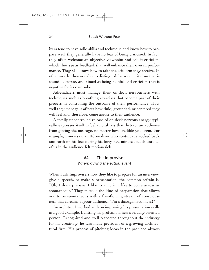izers tend to have solid skills and technique and know how to prepare well, they generally have no fear of being criticized. In fact, they often welcome an objective viewpoint and solicit criticism, which they see as feedback that will enhance their overall performance. They also know how to take the criticism they receive. In other words, they are able to distinguish between criticism that is sound, accurate, and aimed at being helpful and criticism that is negative for its own sake.

Adrenalizers must manage their on-deck nervousness with techniques such as breathing exercises that become part of their process in controlling the outcome of their performance. How well they manage it affects how fluid, grounded, or centered they will feel and, therefore, come across to their audience.

A totally uncontrolled release of on-deck nervous energy typically expresses itself in behavioral tics that distract an audience from getting the message, no matter how credible you seem. For example, I once saw an Adrenalizer who continually rocked back and forth on his feet during his forty-five-minute speech until all of us in the audience felt motion-sick.

#### #4 The Improviser *When: during the actual event*

When I ask Improvisers how they like to prepare for an interview, give a speech, or make a presentation, the common refrain is, "Oh, I don't prepare. I like to wing it. I like to come across as spontaneous." They mistake the kind of preparation that allows you to be spontaneous with a free-flowing stream of consciousness that screams at your audience: "I'm a disorganized mess!"

An architect I worked with on improving his presentation skills is a good example. Befitting his profession, he's a visually oriented person. Recognized and well respected throughout the industry for his creativity, he was made president of a growing architectural firm. His process of pitching ideas in the past had always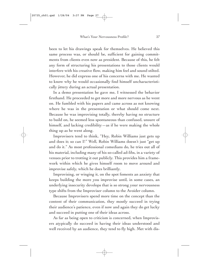been to let his drawings speak for themselves. He believed this same process was, or should be, sufficient for gaining commitments from clients even now as president. Because of this, he felt any form of structuring his presentations to those clients would interfere with his creative flow, making him feel and sound stilted. However, he did express one of his concerns with me. He wanted to know why he would occasionally find himself uncharacteristically jittery during an actual presentation.

In a demo presentation he gave me, I witnessed the behavior firsthand. He proceeded to get more and more nervous as he went on. He fumbled with his papers and came across as not knowing where he was in the presentation or what should come next. Because he was improvising totally, thereby having no structure to build on, he seemed less spontaneous than confused, unsure of himself, and lacking credibility—as if he were making the whole thing up as he went along.

Improvisers tend to think, "Hey, Robin Williams just gets up and does it; so can I!" Well, Robin Williams doesn't just "get up and do it." As most professional comedians do, he tries out all of his material, including many of his so-called ad-libs, in a variety of venues prior to trotting it out publicly. This provides him a framework within which he gives himself room to move around and improvise safely, which he does brilliantly.

Improvising, or winging it, on the spot foments an anxiety that keeps building the more you improvise until, in some cases, an underlying insecurity develops that is so strong your nervousness type shifts from the Improviser column to the Avoider column.

Because Improvisers spend more time on the concept than the content of their communication, they mostly succeed in trying their audience's patience, even if now and again they do get lucky and succeed in putting one of their ideas across.

As far as being open to criticism is concerned, when Improvisers atypically do succeed in having their ideas understood and well received by an audience, they tend to fly high. Met with dis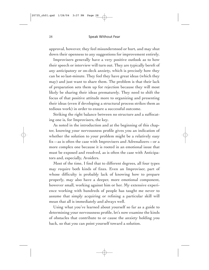approval, however, they feel misunderstood or hurt, and may shut down their openness to any suggestions for improvement entirely.

Improvisers generally have a very positive outlook as to how their speech or interview will turn out. They are typically bereft of any anticipatory or on-deck anxiety, which is precisely how they can be so last-minute. They feel they have great ideas (which they may) and just want to share them. The problem is that their lack of preparation sets them up for rejection because they will most likely be sharing their ideas prematurely. They need to shift the focus of that positive attitude more to organizing and presenting their ideas (even if developing a structural process strikes them as tedious work) in order to ensure a successful outcome.

Striking the right balance between no structure and a suffocating one is, for Improvisers, the key.

As noted in the introduction and at the beginning of this chapter, knowing your nervousness profile gives you an indication of whether the solution to your problem might be a relatively easy fix—as is often the case with Improvisers and Adrenalizers—or a more complex one because it is rooted in an emotional issue that must be exposed and resolved, as is often the case with Anticipators and, especially, Avoiders.

Most of the time, I find that to different degrees, all four types may require both kinds of fixes. Even an Improviser, part of whose difficulty is probably lack of knowing how to prepare properly, may also have a deeper, more emotional component, however small, working against him or her. My extensive experience working with hundreds of people has taught me never to assume that simply acquiring or refining a particular skill will mean that all is immediately and always well.

Using what you've learned about yourself so far as a guide to determining your nervousness profile, let's now examine the kinds of obstacles that contribute to or cause the anxiety holding you back, so that you can point yourself toward a solution.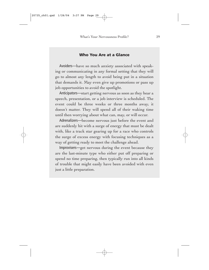#### **Who You Are at a Glance**

Avoiders—have so much anxiety associated with speaking or communicating in any formal setting that they will go to almost any length to avoid being put in a situation that demands it. May even give up promotions or pass up job opportunities to avoid the spotlight.

Anticipators—start getting nervous as soon as they hear a speech, presentation, or a job interview is scheduled. The event could be three weeks or three months away, it doesn't matter. They will spend all of their waking time until then worrying about what can, may, or will occur.

Adrenalizers—become nervous just before the event and are suddenly hit with a surge of energy that must be dealt with, like a track star gearing up for a race who controls the surge of excess energy with focusing techniques as a way of getting ready to meet the challenge ahead.

Improvisers—get nervous during the event because they are the last-minute type who either put off preparing or spend no time preparing, then typically run into all kinds of trouble that might easily have been avoided with even just a little preparation.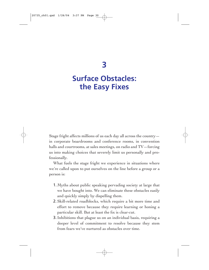**3**

## <span id="page-39-0"></span>**[Surface Obstacles:](#page-7-0) the Easy Fixes**

Stage fright affects millions of us each day all across the country in corporate boardrooms and conference rooms, in convention halls and courtrooms, at sales meetings, on radio and TV—forcing us into making choices that severely limit us personally and professionally.

What fuels the stage fright we experience in situations where we're called upon to put ourselves on the line before a group or a person is:

- 1. Myths about public speaking pervading society at large that we have bought into. We can eliminate these obstacles easily and quickly simply by dispelling them.
- 2. Skill-related roadblocks, which require a bit more time and effort to remove because they require learning or honing a particular skill. But at least the fix is clear-cut.
- 3.Inhibitions that plague us on an individual basis, requiring a deeper level of commitment to resolve because they stem from fears we've nurtured as obstacles over time.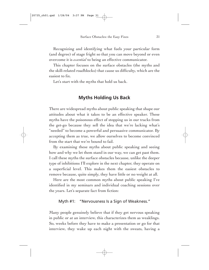Recognizing and identifying what fuels your particular form (and degree) of stage fright so that you can move beyond or even overcome it is *essential* to being an effective communicator.

This chapter focuses on the surface obstacles (the myths and the skill-related roadblocks) that cause us difficulty, which are the easiest to fix.

Let's start with the myths that hold us back.

#### **Myths Holding Us Back**

There are widespread myths about public speaking that shape our attitudes about what it takes to be an effective speaker. These myths have the poisonous effect of stopping us in our tracks from the get-go because they sell the idea that we're lacking what's "needed" to become a powerful and persuasive communicator. By accepting them as true, we allow ourselves to become convinced from the start that we're bound to fail.

By examining these myths about public speaking and seeing how and why we let them stand in our way, we can get past them. I call these myths the surface obstacles because, unlike the deeper type of inhibitions I'll explore in the next chapter, they operate on a superficial level. This makes them the easiest obstacles to remove because, quite simply, they have little or no weight at all.

Here are the most common myths about public speaking I've identified in my seminars and individual coaching sessions over the years. Let's separate fact from fiction:

#### Myth #1: "Nervousness Is a Sign of Weakness."

Many people genuinely believe that if they get nervous speaking in public or at an interview, this characterizes them as weaklings. So, weeks before they have to make a presentation or go for that interview, they wake up each night with the sweats, having a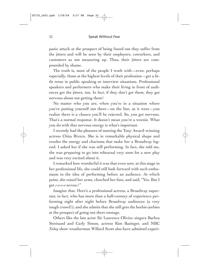panic attack at the prospect of being found out they suffer from the jitters and will be seen by their employers, coworkers, and customers as not measuring up. Thus, their jitters are compounded by shame.

The truth is, most of the people I work with—even, perhaps especially, those at the highest levels of their profession—get a little tense in public speaking or interview situations. Professional speakers and performers who make their living in front of audiences get the jitters, too. In fact, if they don't get them, they get nervous about not getting them!

No matter who you are, when you're in a situation where you're putting yourself out there—on the line, as it were—you realize there is a chance you'll be rejected. So, you get nervous. That's a normal response. It doesn't mean you're a weenie. What you do with that nervous energy is what's important.

I recently had the pleasure of meeting the Tony Award–winning actress Chita Rivera. She is in remarkable physical shape and exudes the energy and charisma that make her a Broadway legend. I asked her if she was still performing. In fact, she told me, she was preparing to go into rehearsal very soon for a new play and was very excited about it.

I remarked how wonderful it was that even now, at this stage in her professional life, she could still look forward with such enthusiasm to the idea of performing before an audience. At which point, she raised her arms, clenched her fists, and said, "Yes. But I get *s-o-o-o nervous*!"

Imagine that. Here's a professional actress, a Broadway superstar, in fact, who has more than a half-century of experience performing night after night before Broadway audiences (a very tough crowd!), and she admits that she still gets the heebie-jeebies at the prospect of going out there onstage.

Others like the late actor Sir Laurence Olivier, singers Barbra Streisand and Carly Simon, actress Kim Basinger, and NBC *Today* show weatherman Willard Scott also have admitted experi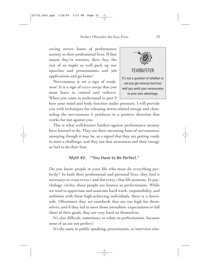encing severe bouts of performance anxiety in their professional lives. If that means they're weenies, then, hey, the rest of us might as well pack up our speeches and presentations and job applications and go home!

Nervousness is *not* a sign of weakness! It is a sign of *excess energy* that you must learn to control and redirect. When you come to understand in part 2



how your mind and body function under pressure, I will provide you with techniques for releasing stress-related energy and channeling the nervousness it produces in a positive direction that works for not against you.

This is what well-known battlers against performance anxiety have learned to do. They see their oncoming bout of nervousness, annoying though it may be, as a signal that they are getting ready to meet a challenge, and they use that awareness and their energy as fuel to do their best.

#### Myth #2: "You Have to Be Perfect."

Do you know people in your life who must do everything perfectly? In both their professional and personal lives, they find it necessary to cross every *t* and dot every *i* that life presents. In psychology circles, these people are known as perfectionists. While we tend to appreciate and associate hard work, responsibility, and ambition with these high-achieving individuals, there is a downside. Oftentimes they set standards that are too high for themselves, and if they fail to meet those unrealistic expectations or fall short of their goals, they are very hard on themselves.

It's also difficult, sometimes, to relate to perfectionists, because most of us are not perfect!

It's the same in public speaking, presentation, or interview situ-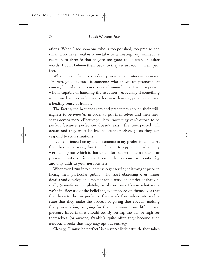ations. When I see someone who is too polished, too precise, too slick, who never makes a mistake or a misstep, my immediate reaction to them is that they're too good to be true. In other words, I don't believe them because they're just too... well, perfect.

What I want from a speaker, presenter, or interviewee—and I'm sure you do, too—is someone who shows up prepared, of course, but who comes across as a human being. I want a person who is capable of handling the situation—especially if something unplanned occurs, as it always does—with grace, perspective, and a healthy sense of humor.

The fact is, the best speakers and presenters rely on their willingness to be *imperfect* in order to put themselves and their messages across more effectively. They know they can't afford to be perfect because perfection doesn't exist; the unexpected will occur, and they must be free to let themselves go so they can respond to such situations.

I've experienced many such moments in my professional life. At first they were scary, but then I came to appreciate what they were telling me, which is that to aim for perfection as a speaker or presenter puts you in a tight box with no room for spontaneity and only adds to your nervousness.

Whenever I run into clients who get terribly distraught prior to facing their particular public, who start obsessing over minor details and develop an almost chronic sense of self-doubt that virtually (sometimes completely) paralyzes them, I know what arena we're in. Because of the belief they've imposed on themselves that they have to do this perfectly, they work themselves into such a state that they make the process of giving that speech, making that presentation, or going for that interview more difficult and pressure filled than it should be. By setting the bar so high for themselves (or anyone, frankly), quite often they become such nervous wrecks that they may opt out entirely.

Clearly, "I must be perfect" is an unrealistic attitude that takes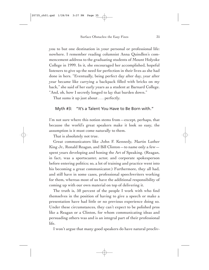you to but one destination in your personal or professional life: nowhere. I remember reading columnist Anna Quindlen's commencement address to the graduating students of Mount Holyoke College in 1999. In it, she encouraged her accomplished, hopeful listeners to give up the need for perfection in their lives as she had done in hers. "Eventually, being perfect day after day, year after year became like carrying a backpack filled with bricks on my back," she said of her early years as a student at Barnard College. "And, oh, how I secretly longed to lay that burden down."

That sums it up just about . . . perfectly.

#### Myth #3: "It's a Talent You Have to Be Born with."

I'm not sure where this notion stems from—except, perhaps, that because the world's great speakers make it look so easy, the assumption is it must come naturally to them.

That is absolutely not true.

Great communicators like John F. Kennedy, Martin Luther King Jr., Ronald Reagan, and Bill Clinton—to name only a few spent years developing and honing the Art of Speaking. (Reagan, in fact, was a sportscaster, actor, and corporate spokesperson before entering politics; so, a lot of training and practice went into his becoming a great communicator.) Furthermore, they all had, and still have in some cases, professional speechwriters working for them, whereas most of us have the additional responsibility of coming up with our own material on top of delivering it.

The truth is, 50 percent of the people I work with who find themselves in the position of having to give a speech or make a presentation have had little or no previous experience doing so. Under these circumstances, they can't expect to be polished pros like a Reagan or a Clinton, for whom communicating ideas and persuading others was and is an integral part of their professional life.

I won't argue that many good speakers do have natural procliv-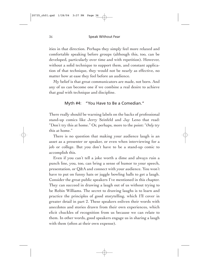ities in that direction. Perhaps they simply feel more relaxed and comfortable speaking before groups (although this, too, can be developed, particularly over time and with repetition). However, without a solid technique to support them, and constant application of that technique, they would not be nearly as effective, no matter how at ease they feel before an audience.

My belief is that great communicators are made, not born. And any of us can become one if we combine a real desire to achieve that goal with technique and discipline.

#### Myth #4: "You Have to Be a Comedian."

There really should be warning labels on the backs of professional stand-up comics like Jerry Seinfeld and Jay Leno that read: "Don't try this at home." Or, perhaps, more to the point: "*Only* try this at home."

There is no question that making your audience laugh is an asset as a presenter or speaker, or even when interviewing for a job or college. But you don't have to be a stand-up comic to accomplish this.

Even if you can't tell a joke worth a dime and always ruin a punch line, you, too, can bring a sense of humor to your speech, presentation, or Q&A and connect with your audience. You won't have to put on funny hats or juggle bowling balls to get a laugh. Consider the great public speakers I've mentioned in this chapter. They can succeed in drawing a laugh out of us without trying to be Robin Williams. The secret to drawing laughs is to learn and practice the principles of good storytelling, which I'll cover in greater detail in part 2. These speakers enliven their words with anecdotes and stories drawn from their own experiences, which elicit chuckles of recognition from us because we can relate to them. In other words, good speakers engage us in sharing a laugh with them (often at their own expense).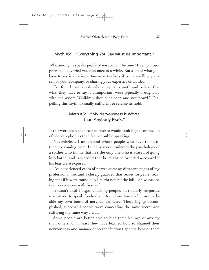#### Myth #5: "Everything You Say Must Be Important."

Who among us speaks pearls of wisdom all the time? Even philosophers take a verbal vacation once in a while. But a lot of what you have to say is very important—particularly if you are selling yourself or your company, or sharing your expertise or an idea.

I've found that people who accept this myth and believe that what they have to say is unimportant were typically brought up with the axiom "Children should be seen and not heard." Dispelling this myth is usually sufficient to release its hold.

#### Myth #6: "My Nervousness Is Worse than Anybody Else's."

If this were true, then fear of snakes would rank higher on the list of people's phobias than fear of public speaking!

Nevertheless, I understand where people who have this attitude are coming from. In many ways it mirrors the psychology of a soldier who thinks that he's the only one who is scared of going into battle, and is worried that he might be branded a coward if his fear were exposed.

I've experienced cases of nerves at many different stages of my professional life, and I closely guarded that secret for years, fearing that if it were found out, I might not get the job—or, worse, be seen as someone with "issues."

It wasn't until I began coaching people, particularly corporate executives, to speak freely that I found out how truly unremarkable my own bouts of nervousness were. These highly accomplished, successful people were concealing the same secret and suffering the same way I was.

Some people are better able to hide their feelings of anxiety than others, or at least they have learned how to channel their nervousness and manage it so that it won't get the best of them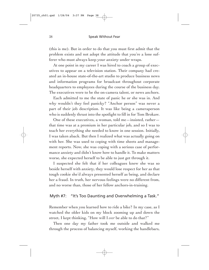(this is me). But in order to do that you must first admit that the problem exists and not adopt the attitude that you're a lone sufferer who must always keep your anxiety under wraps.

At one point in my career I was hired to coach a group of executives to appear on a television station. Their company had created an in-house state-of-the-art studio to produce business news and information programs for broadcast throughout corporate headquarters to employees during the course of the business day. The executives were to be the on-camera talent, or news anchors.

Each admitted to me the state of panic he or she was in. And why wouldn't they feel panicky? "Anchor person" was never a part of their job description. It was like being a cameraperson who is suddenly thrust into the spotlight to fill in for Tom Brokaw.

One of these executives, a woman, told me—insisted, rather that time was at a premium in her particular job, and so I was to teach her everything she needed to know in one session. Initially, I was taken aback. But then I realized what was actually going on with her. She was used to coping with time sheets and management reports. Now, she was coping with a serious case of performance anxiety and didn't know how to handle it. To make matters worse, she expected herself to be able to just get through it.

I suspected she felt that if her colleagues knew she was so beside herself with anxiety, they would lose respect for her as that tough cookie she'd always presented herself as being, and declare her a fraud. In truth, her nervous feelings were no different from, and no worse than, those of her fellow anchors-in-training.

#### Myth #7: "It's Too Daunting and Overwhelming a Task."

Remember when you learned how to ride a bike? In my case, as I watched the older kids on my block zooming up and down the street, I kept thinking, "How will I *ever* be able to do that?"

Then one day my father took me outside and walked me through the process of balancing myself, working the handlebars,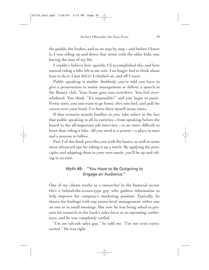the pedals, the brakes, and so on step by step—and before I knew it, I was riding up and down that street with the older kids, too, having the time of my life.

I couldn't believe how quickly I'd accomplished this and how natural riding a bike felt to me now. I no longer had to think about how to do it; I just did it! I climbed on, and off I went.

Public speaking is similar. Suddenly you're told you have to give a presentation to senior management or deliver a speech to the Rotary club. Your brain goes into overdrive. You feel overwhelmed. You think, "It's impossible!" and you begin to panic. Pretty soon, you just want to go home, dive into bed, and pull the covers over your head. I've been there myself many times.

If that scenario sounds familiar to you, take solace in the fact that public speaking in all its varieties—from speaking before the board to the all-important job interview—is no more difficult to learn than riding a bike. All you need is a system—a place to start and a process to follow.

Part 2 of this book provides you with the basics, as well as some more advanced tips for taking it up a notch. By applying the principles and adapting them to your own needs, you'll be up and riding in no time.

#### Myth #8: "You Have to Be Outgoing to Engage an Audience."

One of my clients works as a researcher in the financial sector. He's a behind-the-scenes-type guy who gathers information to help improve his company's marketing position. Typically, he shares his findings with top senior-level management, either one on one or in small meetings. But now he was being asked to present his research to the bank's sales force at an upcoming conference, and he was completely rattled.

"I'm no rah-rah sales guy," he told me. "I'm not even extroverted." He was right.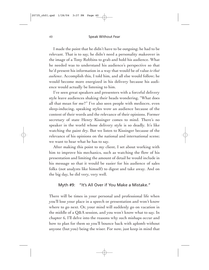I made the point that he didn't have to be outgoing; he had to be relevant. That is to say, he didn't need a personality makeover in the image of a Tony Robbins to grab and hold his audience. What he needed was to understand his audience's perspective so that he'd present his information in a way that would be of value *to that audience*. Accomplish this, I told him, and all else would follow; he would become more energized in his delivery because his audience would actually be listening to him.

I've seen great speakers and presenters with a forceful delivery style leave audiences shaking their heads wondering, "What does all that mean for me?" I've also seen people with mediocre, even sleep-inducing, speaking styles wow an audience because of the content of their words and the relevance of their opinions. Former secretary of state Henry Kissinger comes to mind. There's no speaker in the world whose delivery style is so deadly. It's like watching the paint dry. But we listen to Kissinger because of the relevance of his opinions on the national and international scene; we want to hear what he has to say.

After making this point to my client, I set about working with him to improve his mechanics, such as watching the flow of his presentation and limiting the amount of detail he would include in his message so that it would be easier for his audience of sales folks (not analysts like himself) to digest and take away. And on the big day, he did very, very well.

#### Myth #9: "It's All Over if You Make a Mistake."

There will be times in your personal and professional life when you'll lose your place in a speech or presentation and won't know where to go next. Or, your mind will suddenly go on vacation in the middle of a Q&A session, and you won't know what to say. In chapter 6, I'll delve into the reasons why such mishaps occur and how to plan for them so you'll bounce back with aplomb without anyone (but you) being the wiser. For now, just keep in mind that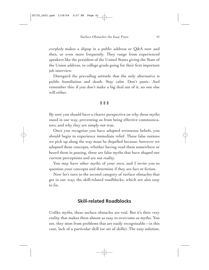*everybody* makes a slipup in a public address or Q&A now and then, or even more frequently. They range from experienced speakers like the president of the United States giving the State of the Union address, to college grads going for their first important job interview.

Disregard the prevailing attitude that the only alternative is public humiliation and death. Stay calm. Don't panic. And remember this: if you don't make a big deal out of it, no one else will either.

#### ❚❚❚

By now you should have a clearer perspective on why these myths stand in our way, preventing us from being effective communicators, and why they are simply not true.

Once you recognize you have adopted erroneous beliefs, you should begin to experience immediate relief. These false notions we pick up along the way must be dispelled because, however we adopted these concepts, whether having read them somewhere or heard them in passing, these are false myths that have shaped our current perceptions and are not reality.

You may have other myths of your own, and I invite you to question your concepts and determine if they are fact or fiction.

Now let's turn to the second category of surface obstacles that get in our way, the skill-related roadblocks, which are also easy to fix.

#### **Skill-related Roadblocks**

Unlike myths, these surface obstacles are real. But it's their very reality that makes them almost as easy to overcome as myths. You see, they stem from problems that are easily recognizable—in this case, lack of a particular skill (or set of skills). The easy solution,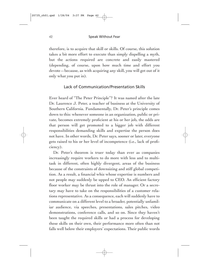therefore, is to acquire that skill or skills. Of course, this solution takes a bit more effort to execute than simply dispelling a myth, but the actions required are concrete and easily mastered (depending, of course, upon how much time and effort you devote—because, as with acquiring any skill, you will get out of it only what you put in).

#### Lack of Communication/Presentation Skills

Ever heard of "The Peter Principle"? It was named after the late Dr. Laurence J. Peter, a teacher of business at the University of Southern California. Fundamentally, Dr. Peter's principle comes down to this: whenever someone in an organization, public or private, becomes extremely proficient at his or her job, the odds are that person will get promoted to a bigger job with different responsibilities demanding skills and expertise the person does not have. In other words, Dr. Peter says, sooner or later, everyone gets raised to his or her level of incompetence (i.e., lack of proficiency).

Dr. Peter's theorem is truer today than ever as companies increasingly require workers to do more with less and to multitask in different, often highly divergent, areas of the business because of the constraints of downsizing and stiff global competition. As a result, a financial whiz whose expertise is numbers and not people may suddenly be upped to CEO. An efficient factory floor worker may be thrust into the role of manager. Or a secretary may have to take on the responsibilities of a customer relations representative. As a consequence, each will suddenly have to communicate on a different level to a broader, potentially unfamiliar audience, via speeches, presentations, sales pitches, video demonstrations, conference calls, and so on. Since they haven't been taught the required skills or had a process for developing these skills on their own, their performance more often than not falls well below their employers' expectations. Their public words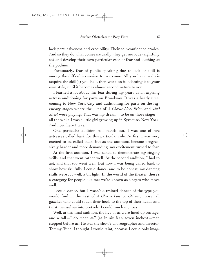lack persuasiveness and credibility. Their self-confidence erodes. And so they do what comes naturally: they get nervous (rightfully so) and develop their own particular case of fear and loathing at the podium.

Fortunately, fear of public speaking due to lack of skill is among the difficulties easiest to overcome. All you have to do is acquire the skill(s) you lack, then work on it, adapting it to your own style, until it becomes almost second nature to you.

I learned a lot about this fear during my years as an aspiring actress auditioning for parts on Broadway. It was a heady time, coming to New York City and auditioning for parts on the legendary stages where the likes of *A Chorus Line*, *Evita*, and *42nd Street* were playing. That was my dream—to be on those stages all the while I was a little girl growing up in Syracuse, New York. And now, here I was.

One particular audition still stands out. I was one of five actresses called back for this particular role. At first I was very excited to be called back, but as the auditions became progressively harder and more demanding, my excitement turned to fear.

At the first audition, I was asked to demonstrate my singing skills, and that went rather well. At the second audition, I had to act, and that too went well. But now I was being called back to show how skillfully I could dance, and to be honest, my dancing skills were . . . well, a bit light. In the world of the theater, there's a category for people like me: we're known as singers who move well.

I could dance, but I wasn't a trained dancer of the type you would find in the cast of *A Chorus Line* or *Chicago*, those tall gazelles who could touch their heels to the top of their heads and twist themselves into pretzels. I could touch my toes.

Well, at this final audition, the five of us were lined up onstage, and a tall—I do mean *tall* (as in six feet, seven inches)—man stepped before us. He was the show's choreographer and director, Tommy Tune. I thought I would faint, because I could only imag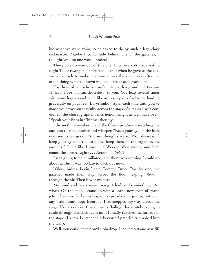ine what we were going to be asked to do by such a legendary taskmaster. Maybe I could hide behind one of the gazelles, I thought, and no one would notice!

There was no way out of this one. In a very soft voice with a slight Texas twang, he instructed us that when he gave us the cue, we were each to make our way across the stage, one after the other, doing what is known in dance circles as a grand jeté.

For those of you who are unfamiliar with a grand jeté (as was I), let me see if I can describe it to you. You leap several times with your legs spread wide like an open pair of scissors, landing gracefully on your feet, Baryshnikov style, each time until you've made your way successfully across the stage. As far as I was concerned, the choreographer's instructions might as well have been, "Speak your lines in Chinese, then fly."

I distinctly remember one of the fifteen producers watching the audition turn to another and whisper, "Keep your eye on the little one [me]; she's good." And my thoughts were, "No, please, *don't* keep your eyes on the little one; keep them on the big ones, the gazelles!" I felt like I was in a Woody Allen movie, and here comes the scene: Lights... Action... *Splat*!

I was going to be humiliated, and there was nothing I could do about it. But it was too late to back out now.

"Okay, ladies, begin," said Tommy Tune. One by one, the gazelles made their way across the floor, leaping—*flying* through the air. Then it was my turn.

My mind and heart were racing. I had to do something. But what? On the spot, I came up with a brand-new form of grand jeté. There would be no leaps, no spread-eagle jumps, not even any little bunny hops from me. I sidestepped my way across the stage, like a crab on Prozac, arms flailing, desperately trying to smile through clenched teeth until I finally reached the far side of the stage (I knew I'd reached it because I practically crashed into the wall).

Well, you could have heard a pin drop. I looked out and saw fif-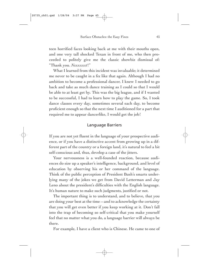teen horrified faces looking back at me with their mouths open, and one very tall shocked Texan in front of me, who then proceeded to politely give me the classic showbiz dismissal of: "Thank you. *Nexxxxxt*!"

What I learned from this incident was invaluable; it determined me never to be caught in a fix like that again. Although I had no ambition to become a professional dancer, I knew I needed to go back and take as much dance training as I could so that I would be able to at least get by. This was the big league, and if I wanted to be successful, I had to learn how to play the game. So, I took dance classes every day, sometimes several each day, to become proficient enough so that the next time I auditioned for a part that required me to appear dancerlike, I would get the job!

#### Language Barriers

If you are not yet fluent in the language of your prospective audience, or if you have a distinctive accent from growing up in a different part of the country or a foreign land, it's natural to feel a bit self-conscious and, thus, develop a case of the jitters.

Your nervousness is a well-founded reaction, because audiences do size up a speaker's intelligence, background, and level of education by observing his or her command of the language. Think of the public perception of President Bush's smarts underlying many of the jokes we get from David Letterman and Jay Leno about the president's difficulties with the English language. It's human nature to make such judgments, justified or not.

The important thing is to understand, and to believe, that you are doing your best at the time—and to acknowledge the certainty that you will get even better if you keep working at it. Don't fall into the trap of becoming so self-critical that you make yourself feel that no matter what you do, a language barrier will always be there.

For example, I have a client who is Chinese. He came to one of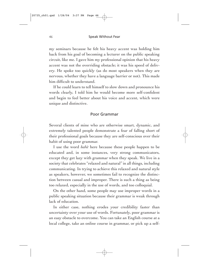my seminars because he felt his heavy accent was holding him back from his goal of becoming a lecturer on the public speaking circuit, like me. I gave him my professional opinion that his heavy accent was not the overriding obstacle; it was his speed of delivery. He spoke too quickly (as do most speakers when they are nervous, whether they have a language barrier or not). This made him difficult to understand.

If he could learn to tell himself to slow down and pronounce his words clearly, I told him he would become more self-confident and begin to feel better about his voice and accent, which were unique and distinctive.

#### Poor Grammar

Several clients of mine who are otherwise smart, dynamic, and extremely talented people demonstrate a fear of falling short of their professional goals because they are self-conscious over their habit of using poor grammar.

I use the word *habit* here because these people happen to be educated and, in some instances, very strong communicators, except they get lazy with grammar when they speak. We live in a society that celebrates "relaxed and natural" in all things, including communicating. In trying to achieve this relaxed and natural style as speakers, however, we sometimes fail to recognize the distinction between casual and improper. There is such a thing as being too relaxed, especially in the use of words, and too colloquial.

On the other hand, some people may use improper words in a public speaking situation because their grammar is weak through lack of education.

In either case, nothing erodes your credibility faster than uncertainty over your use of words. Fortunately, poor grammar is an easy obstacle to overcome. You can take an English course at a local college, take an online course in grammar, or pick up a self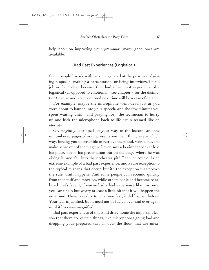help book on improving your grammar (many good ones are available).

#### Bad Past Experiences (Logistical)

Some people I work with become agitated at the prospect of giving a speech, making a presentation, or being interviewed for a job or for college because they had a bad past experience of a logistical (as opposed to emotional—see chapter 4 for the distinction) nature and are concerned next time will be a case of déjà vu.

For example, maybe the microphone went dead just as you were about to launch into your speech, and the few minutes you spent waiting until—and praying for—the technician to hurry up and kick the microphone back to life again seemed like an eternity.

Or, maybe you tripped on your way to the lectern, and the unnumbered pages of your presentation went flying every which way, forcing you to scramble to retrieve them and, worse, have to make sense out of them again. I even saw a beginner speaker lose his place, not in his presentation but on the stage where he was giving it, and fall into the orchestra pit! That, of course, is an extreme example of a bad past experience, and a rare exception to the typical mishaps that occur, but it's the exception that proves the rule: Stuff happens. And some people can rebound quickly from that stuff and move on, while others panic and become paralyzed. Let's face it, if you've had a bad experience like this once, you can't help but worry at least a little bit that it will happen the next time. There is reality to what you fear; it did happen before. Your fear is justified, but it need not be fueled over and over again until it becomes magnified.

Bad past experiences of this kind drive home the important lesson that there are certain things, like microphones going bad and dropping your prepared text all over the floor, that are unex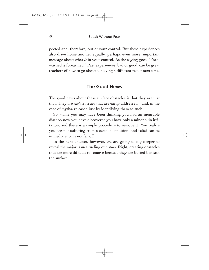pected and, therefore, out of your control. But these experiences also drive home another equally, perhaps even more, important message about what  $\omega$  in your control. As the saying goes, "Forewarned is forearmed." Past experiences, bad or good, can be great teachers of how to go about achieving a different result next time.

#### **The Good News**

The good news about these surface obstacles is that they are just that. They are *surface* issues that are easily addressed—and, in the case of myths, released just by identifying them as such.

So, while you may have been thinking you had an incurable disease, now you have discovered you have only a minor skin irritation, and there is a simple procedure to remove it. You realize you are not suffering from a serious condition, and relief can be immediate, or is not far off.

In the next chapter, however, we are going to dig deeper to reveal the major issues fueling our stage fright, creating obstacles that are more difficult to remove because they are buried beneath the surface.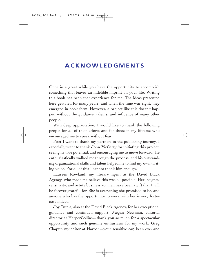#### **[ACKNOWLEDGMENTS](#page-8-0)**

<span id="page-58-0"></span>Once in a great while you have the opportunity to accomplish something that leaves an indelible imprint on your life. Writing this book has been that experience for me. The ideas presented here gestated for many years, and when the time was right, they emerged in book form. However, a project like this doesn't happen without the guidance, talents, and influence of many other people.

With deep appreciation, I would like to thank the following people for all of their efforts and for those in my lifetime who encouraged me to speak without fear.

First I want to thank my partners in the publishing journey. I especially want to thank John McCarty for initiating this project, seeing its true potential, and encouraging me to move forward. He enthusiastically walked me through the process, and his outstanding organizational skills and talent helped me to find my own writing voice. For all of this I cannot thank him enough.

Laureen Rowland, my literary agent at the David Black Agency, who made me believe this was all possible. Her insights, sensitivity, and astute business acumen have been a gift that I will be forever grateful for. She is everything she promised to be, and anyone who has the opportunity to work with her is very fortunate indeed.

Joy Tutela, also at the David Black Agency, for her exceptional guidance and continued support. Megan Newman, editorial director at HarperCollins—thank you so much for a spectacular opportunity and such genuine enthusiasm for my work. Greg Chaput, my editor at Harper—your sensitive ear, keen eye, and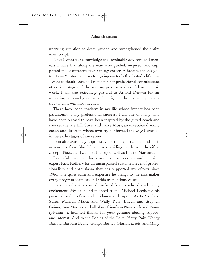unerring attention to detail guided and strengthened the entire manuscript.

Next I want to acknowledge the invaluable advisors and mentors I have had along the way who guided, inspired, and supported me at different stages in my career. A heartfelt thank-you to Diane Winter Connors for giving me tools that lasted a lifetime. I want to thank Lara de Freitas for her professional consultations at critical stages of the writing process and confidence in this work. I am also extremely grateful to Arnold Derwin for his unending personal generosity, intelligence, humor, and perspective when it was most needed.

There have been teachers in my life whose impact has been paramount to my professional success. I am one of many who have been blessed to have been inspired by the gifted coach and speaker the late Bill Gove, and Larry Moss, an exceptional acting coach and director, whose own style informed the way I worked in the early stages of my career.

I am also extremely appreciative of the expert and sound business advice from Alan Neigher and guiding hands from the gifted Joseph Piazza and James Huelbig as well as Louise Maniscalco.

I especially want to thank my business associate and technical expert Rick Rothery for an unsurpassed sustained level of professionalism and enthusiasm that has supported my efforts since 1986. The quiet calm and expertise he brings to the mix makes every program seamless and adds tremendous value.

I want to thank a special circle of friends who shared in my excitement. My dear and talented friend Michael Leeds for his personal and professional guidance and input. Marta Sanders, Susan Mansur, Marta and Wally Ruiz, Eileen and Stephen Geiger, Ken Marino, and all of my friends in New York and Pennsylvania—a heartfelt thanks for your genuine abiding support and interest. And to the Ladies of the Lake: Hetty Baiz, Nancy Barlow, Barbara Beane, Gladys Bernet, Gloria Fassett, and Molly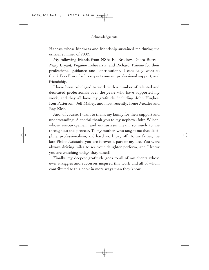Hahesy, whose kindness and friendship sustained me during the critical summer of 2002.

My following friends from NSA: Ed Brodow, Debra Burrell, Mary Bryant, Peguine Echevarria, and Richard Thieme for their professional guidance and contributions. I especially want to thank Bob Frare for his expert counsel, professional support, and friendship.

I have been privileged to work with a number of talented and dedicated professionals over the years who have supported my work, and they all have my gratitude, including John Hughes, Ken Patterson, Jeff Malley, and most recently, Irene Meader and Ray Kirk.

And, of course, I want to thank my family for their support and understanding. A special thank-you to my nephew John Wilson, whose encouragement and enthusiasm meant so much to me throughout this process. To my mother, who taught me that discipline, professionalism, and hard work pay off. To my father, the late Philip Naistadt, you are forever a part of my life. You were always driving miles to see your daughter perform, and I know you are watching today. Stay tuned!

Finally, my deepest gratitude goes to all of my clients whose own struggles and successes inspired this work and all of whom contributed to this book in more ways than they know.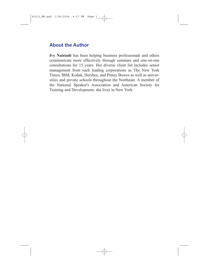#### <span id="page-61-0"></span>**[About the Author](#page-8-0)**

**Ivy Naistadt** has been helping business professionals and others communicate more effectively through seminars and one-on-one consultations for 15 years. Her diverse client list includes senior management from such leading corporations as The New York Times, IBM, Kodak, Hershey, and Pitney Bowes as well as universities and private schools throughout the Northeast. A member of the National Speaker's Association and American Society for Training and Development, she lives in New York.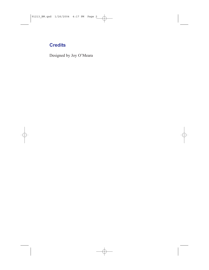#### <span id="page-62-0"></span>**[Credits](#page-8-0)**

Designed by Joy O'Meara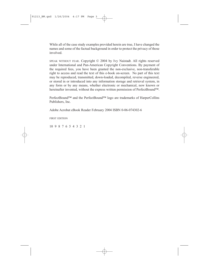<span id="page-63-0"></span>While all of the case study examples provided herein are true, I have changed the names and some of the factual background in order to protect the privacy of those involved.

SPEAK WITHOUT FEAR. Copyright © 2004 by Ivy Naistadt. All rights reserved under International and Pan-American Copyright Conventions. By payment of the required fees, you have been granted the non-exclusive, non-transferable right to access and read the text of this e-book on-screen. No part of this text may be reproduced, transmitted, down-loaded, decompiled, reverse engineered, or stored in or introduced into any information storage and retrieval system, in any form or by any means, whether electronic or mechanical, now known or hereinafter invented, without the express written permission of PerfectBound™.

PerfectBound™ and the PerfectBound™ logo are trademarks of HarperCollins Publishers, Inc.

Adobe Acrobat eBook Reader February 2004 ISBN 0-06-074302-6

FIRST EDITION

10 9 8 7 6 5 4 3 2 1